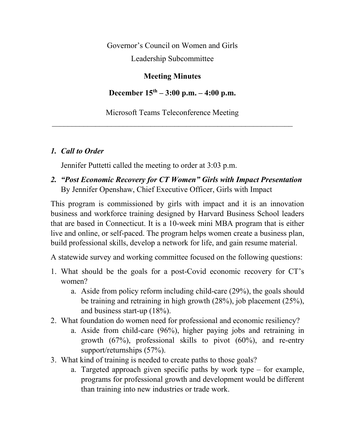Governor's Council on Women and Girls

Leadership Subcommittee

#### **Meeting Minutes**

**December 15th – 3:00 p.m. – 4:00 p.m.**

Microsoft Teams Teleconference Meeting  $\mathcal{L}_\text{max}$  , and the contract of the contract of the contract of the contract of the contract of the contract of the contract of the contract of the contract of the contract of the contract of the contract of the contr

### *1. Call to Order*

Jennifer Puttetti called the meeting to order at 3:03 p.m.

*2. "Post Economic Recovery for CT Women" Girls with Impact Presentation* By Jennifer Openshaw, Chief Executive Officer, Girls with Impact

This program is commissioned by girls with impact and it is an innovation business and workforce training designed by Harvard Business School leaders that are based in Connecticut. It is a 10-week mini MBA program that is either live and online, or self-paced. The program helps women create a business plan, build professional skills, develop a network for life, and gain resume material.

A statewide survey and working committee focused on the following questions:

- 1. What should be the goals for a post-Covid economic recovery for CT's women?
	- a. Aside from policy reform including child-care (29%), the goals should be training and retraining in high growth (28%), job placement (25%), and business start-up (18%).
- 2. What foundation do women need for professional and economic resiliency?
	- a. Aside from child-care (96%), higher paying jobs and retraining in growth (67%), professional skills to pivot (60%), and re-entry support/returnships (57%).
- 3. What kind of training is needed to create paths to those goals?
	- a. Targeted approach given specific paths by work type for example, programs for professional growth and development would be different than training into new industries or trade work.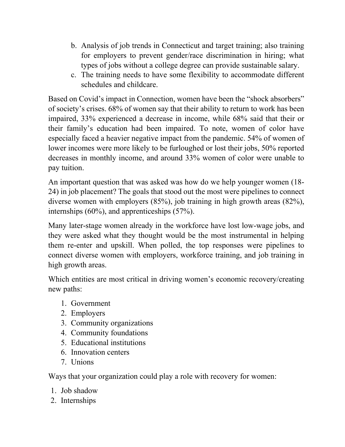- b. Analysis of job trends in Connecticut and target training; also training for employers to prevent gender/race discrimination in hiring; what types of jobs without a college degree can provide sustainable salary.
- c. The training needs to have some flexibility to accommodate different schedules and childcare.

Based on Covid's impact in Connection, women have been the "shock absorbers" of society's crises. 68% of women say that their ability to return to work has been impaired, 33% experienced a decrease in income, while 68% said that their or their family's education had been impaired. To note, women of color have especially faced a heavier negative impact from the pandemic. 54% of women of lower incomes were more likely to be furloughed or lost their jobs, 50% reported decreases in monthly income, and around 33% women of color were unable to pay tuition.

An important question that was asked was how do we help younger women (18- 24) in job placement? The goals that stood out the most were pipelines to connect diverse women with employers (85%), job training in high growth areas (82%), internships (60%), and apprenticeships (57%).

Many later-stage women already in the workforce have lost low-wage jobs, and they were asked what they thought would be the most instrumental in helping them re-enter and upskill. When polled, the top responses were pipelines to connect diverse women with employers, workforce training, and job training in high growth areas.

Which entities are most critical in driving women's economic recovery/creating new paths:

- 1. Government
- 2. Employers
- 3. Community organizations
- 4. Community foundations
- 5. Educational institutions
- 6. Innovation centers
- 7. Unions

Ways that your organization could play a role with recovery for women:

- 1. Job shadow
- 2. Internships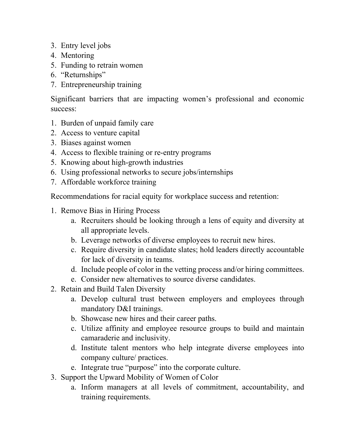- 3. Entry level jobs
- 4. Mentoring
- 5. Funding to retrain women
- 6. "Returnships"
- 7. Entrepreneurship training

Significant barriers that are impacting women's professional and economic success:

- 1. Burden of unpaid family care
- 2. Access to venture capital
- 3. Biases against women
- 4. Access to flexible training or re-entry programs
- 5. Knowing about high-growth industries
- 6. Using professional networks to secure jobs/internships
- 7. Affordable workforce training

Recommendations for racial equity for workplace success and retention:

- 1. Remove Bias in Hiring Process
	- a. Recruiters should be looking through a lens of equity and diversity at all appropriate levels.
	- b. Leverage networks of diverse employees to recruit new hires.
	- c. Require diversity in candidate slates; hold leaders directly accountable for lack of diversity in teams.
	- d. Include people of color in the vetting process and/or hiring committees.
	- e. Consider new alternatives to source diverse candidates.
- 2. Retain and Build Talen Diversity
	- a. Develop cultural trust between employers and employees through mandatory D&I trainings.
	- b. Showcase new hires and their career paths.
	- c. Utilize affinity and employee resource groups to build and maintain camaraderie and inclusivity.
	- d. Institute talent mentors who help integrate diverse employees into company culture/ practices.
	- e. Integrate true "purpose" into the corporate culture.
- 3. Support the Upward Mobility of Women of Color
	- a. Inform managers at all levels of commitment, accountability, and training requirements.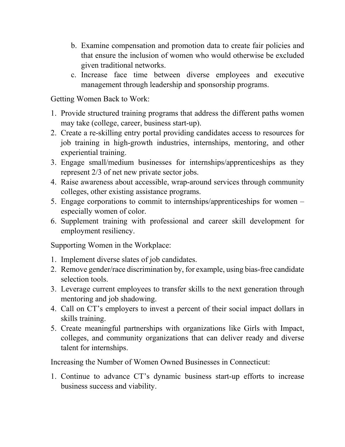- b. Examine compensation and promotion data to create fair policies and that ensure the inclusion of women who would otherwise be excluded given traditional networks.
- c. Increase face time between diverse employees and executive management through leadership and sponsorship programs.

Getting Women Back to Work:

- 1. Provide structured training programs that address the different paths women may take (college, career, business start-up).
- 2. Create a re-skilling entry portal providing candidates access to resources for job training in high-growth industries, internships, mentoring, and other experiential training.
- 3. Engage small/medium businesses for internships/apprenticeships as they represent 2/3 of net new private sector jobs.
- 4. Raise awareness about accessible, wrap-around services through community colleges, other existing assistance programs.
- 5. Engage corporations to commit to internships/apprenticeships for women especially women of color.
- 6. Supplement training with professional and career skill development for employment resiliency.

Supporting Women in the Workplace:

- 1. Implement diverse slates of job candidates.
- 2. Remove gender/race discrimination by, for example, using bias-free candidate selection tools.
- 3. Leverage current employees to transfer skills to the next generation through mentoring and job shadowing.
- 4. Call on CT's employers to invest a percent of their social impact dollars in skills training.
- 5. Create meaningful partnerships with organizations like Girls with Impact, colleges, and community organizations that can deliver ready and diverse talent for internships.

Increasing the Number of Women Owned Businesses in Connecticut:

1. Continue to advance CT's dynamic business start-up efforts to increase business success and viability.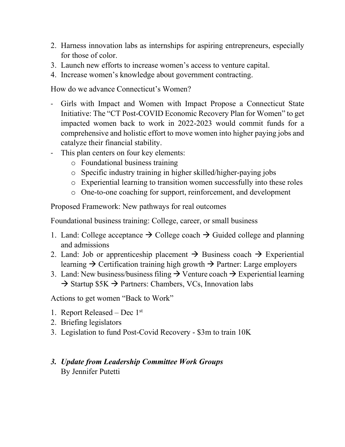- 2. Harness innovation labs as internships for aspiring entrepreneurs, especially for those of color.
- 3. Launch new efforts to increase women's access to venture capital.
- 4. Increase women's knowledge about government contracting.

How do we advance Connecticut's Women?

- Girls with Impact and Women with Impact Propose a Connecticut State Initiative: The "CT Post-COVID Economic Recovery Plan for Women" to get impacted women back to work in 2022-2023 would commit funds for a comprehensive and holistic effort to move women into higher paying jobs and catalyze their financial stability.
- This plan centers on four key elements:
	- o Foundational business training
	- o Specific industry training in higher skilled/higher-paying jobs
	- o Experiential learning to transition women successfully into these roles
	- o One-to-one coaching for support, reinforcement, and development

Proposed Framework: New pathways for real outcomes

Foundational business training: College, career, or small business

- 1. Land: College acceptance  $\rightarrow$  College coach  $\rightarrow$  Guided college and planning and admissions
- 2. Land: Job or apprenticeship placement  $\rightarrow$  Business coach  $\rightarrow$  Experiential learning  $\rightarrow$  Certification training high growth  $\rightarrow$  Partner: Large employers
- 3. Land: New business/business filing  $\rightarrow$  Venture coach  $\rightarrow$  Experiential learning  $\rightarrow$  Startup \$5K  $\rightarrow$  Partners: Chambers, VCs, Innovation labs

Actions to get women "Back to Work"

- 1. Report Released Dec 1st
- 2. Briefing legislators
- 3. Legislation to fund Post-Covid Recovery \$3m to train 10K

### *3. Update from Leadership Committee Work Groups* By Jennifer Putetti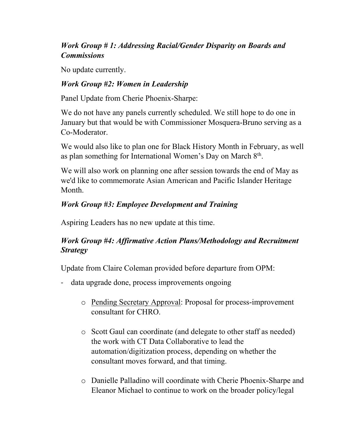# *Work Group # 1: Addressing Racial/Gender Disparity on Boards and Commissions*

No update currently.

### *Work Group #2: Women in Leadership*

Panel Update from Cherie Phoenix-Sharpe:

We do not have any panels currently scheduled. We still hope to do one in January but that would be with Commissioner Mosquera-Bruno serving as a Co-Moderator.

We would also like to plan one for Black History Month in February, as well as plan something for International Women's Day on March 8<sup>th</sup>.

We will also work on planning one after session towards the end of May as we'd like to commemorate Asian American and Pacific Islander Heritage Month.

# *Work Group #3: Employee Development and Training*

Aspiring Leaders has no new update at this time.

# *Work Group #4: Affirmative Action Plans/Methodology and Recruitment Strategy*

Update from Claire Coleman provided before departure from OPM:

- data upgrade done, process improvements ongoing
	- o Pending Secretary Approval: Proposal for process-improvement consultant for CHRO.
	- o Scott Gaul can coordinate (and delegate to other staff as needed) the work with CT Data Collaborative to lead the automation/digitization process, depending on whether the consultant moves forward, and that timing.
	- o Danielle Palladino will coordinate with Cherie Phoenix-Sharpe and Eleanor Michael to continue to work on the broader policy/legal